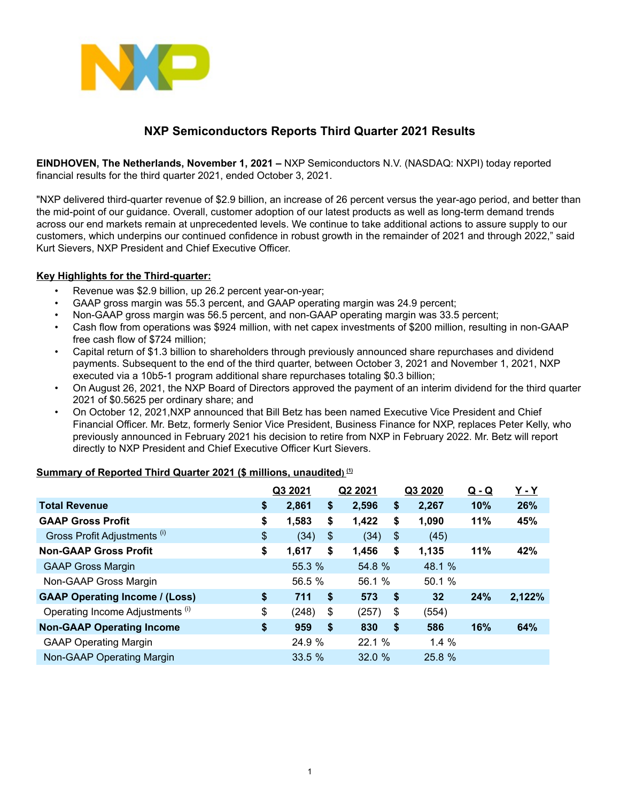

# **NXP Semiconductors Reports Third Quarter 2021 Results**

**EINDHOVEN, The Netherlands, November 1, 2021 –** NXP Semiconductors N.V. (NASDAQ: NXPI) today reported financial results for the third quarter 2021, ended October 3, 2021.

"NXP delivered third-quarter revenue of \$2.9 billion, an increase of 26 percent versus the year-ago period, and better than the mid-point of our guidance. Overall, customer adoption of our latest products as well as long-term demand trends across our end markets remain at unprecedented levels. We continue to take additional actions to assure supply to our customers, which underpins our continued confidence in robust growth in the remainder of 2021 and through 2022," said Kurt Sievers, NXP President and Chief Executive Officer.

## **Key Highlights for the Third-quarter:**

- Revenue was \$2.9 billion, up 26.2 percent year-on-year;
- GAAP gross margin was 55.3 percent, and GAAP operating margin was 24.9 percent;
- Non-GAAP gross margin was 56.5 percent, and non-GAAP operating margin was 33.5 percent;
- Cash flow from operations was \$924 million, with net capex investments of \$200 million, resulting in non-GAAP free cash flow of \$724 million;
- Capital return of \$1.3 billion to shareholders through previously announced share repurchases and dividend payments. Subsequent to the end of the third quarter, between October 3, 2021 and November 1, 2021, NXP executed via a 10b5-1 program additional share repurchases totaling \$0.3 billion;
- On August 26, 2021, the NXP Board of Directors approved the payment of an interim dividend for the third quarter 2021 of \$0.5625 per ordinary share; and
- On October 12, 2021,NXP announced that Bill Betz has been named Executive Vice President and Chief Financial Officer. Mr. Betz, formerly Senior Vice President, Business Finance for NXP, replaces Peter Kelly, who previously announced in February 2021 his decision to retire from NXP in February 2022. Mr. Betz will report directly to NXP President and Chief Executive Officer Kurt Sievers.

### **Summary of Reported Third Quarter 2021 (\$ millions, unaudited) (1)**

|                                       | Q3 2021     |               | Q2 2021 |                           | Q3 2020 | <u>Q - Q</u> | <u>Y - Y</u> |
|---------------------------------------|-------------|---------------|---------|---------------------------|---------|--------------|--------------|
| <b>Total Revenue</b>                  | \$<br>2,861 | \$            | 2,596   | \$                        | 2,267   | 10%          | 26%          |
| <b>GAAP Gross Profit</b>              | \$<br>1,583 | \$            | 1,422   | \$                        | 1,090   | 11%          | 45%          |
| Gross Profit Adjustments (i)          | \$<br>(34)  | $\frac{1}{2}$ | (34)    | $\boldsymbol{\mathsf{S}}$ | (45)    |              |              |
| <b>Non-GAAP Gross Profit</b>          | \$<br>1,617 | \$            | 1,456   | \$                        | 1,135   | 11%          | 42%          |
| <b>GAAP Gross Margin</b>              | 55.3 %      |               | 54.8 %  |                           | 48.1 %  |              |              |
| Non-GAAP Gross Margin                 | 56.5 %      |               | 56.1 %  |                           | 50.1 %  |              |              |
| <b>GAAP Operating Income / (Loss)</b> | \$<br>711   | \$            | 573     | \$                        | 32      | 24%          | 2,122%       |
| Operating Income Adjustments (i)      | \$<br>(248) | \$            | (257)   | \$                        | (554)   |              |              |
| <b>Non-GAAP Operating Income</b>      | \$<br>959   | \$            | 830     | \$                        | 586     | 16%          | 64%          |
| <b>GAAP Operating Margin</b>          | 24.9 %      |               | 22.1%   |                           | 1.4%    |              |              |
| Non-GAAP Operating Margin             | 33.5 %      |               | 32.0 %  |                           | 25.8 %  |              |              |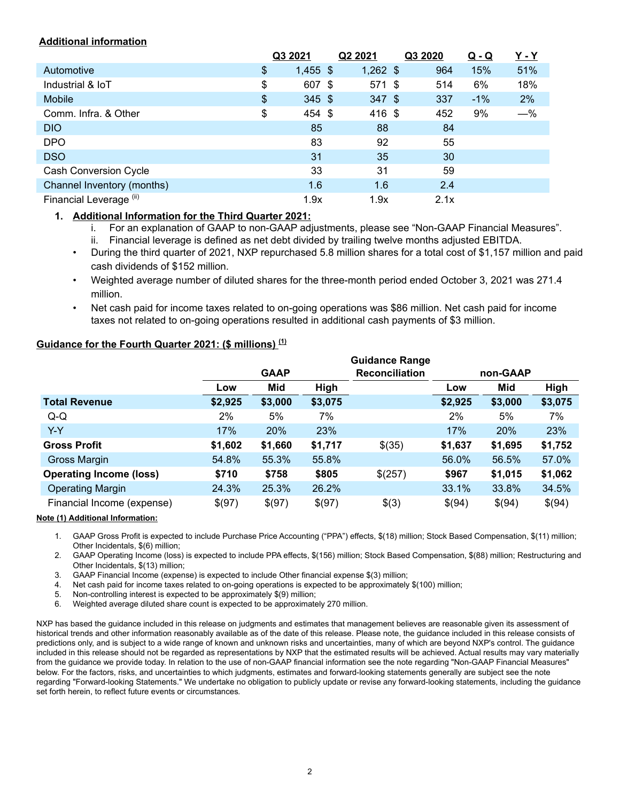## **Additional information**

|                              | Q3 2021          | Q2 2021    | Q3 2020 | $Q - Q$ | <u>Y - Y</u> |
|------------------------------|------------------|------------|---------|---------|--------------|
| Automotive                   | \$<br>$1,455$ \$ | $1,262$ \$ | 964     | 15%     | 51%          |
| Industrial & IoT             | \$<br>607 \$     | 571 \$     | 514     | 6%      | 18%          |
| <b>Mobile</b>                | \$<br>345 $$$    | $347$ \$   | 337     | $-1%$   | 2%           |
| Comm. Infra. & Other         | \$<br>454 \$     | 416 \$     | 452     | 9%      | $-\%$        |
| <b>DIO</b>                   | 85               | 88         | 84      |         |              |
| <b>DPO</b>                   | 83               | 92         | 55      |         |              |
| <b>DSO</b>                   | 31               | 35         | 30      |         |              |
| <b>Cash Conversion Cycle</b> | 33               | 31         | 59      |         |              |
| Channel Inventory (months)   | 1.6              | 1.6        | 2.4     |         |              |
| Financial Leverage (ii)      | 1.9x             | 1.9x       | 2.1x    |         |              |

# **1. Additional Information for the Third Quarter 2021:**

- i. For an explanation of GAAP to non-GAAP adjustments, please see "Non-GAAP Financial Measures".
- ii. Financial leverage is defined as net debt divided by trailing twelve months adjusted EBITDA.
- During the third quarter of 2021, NXP repurchased 5.8 million shares for a total cost of \$1,157 million and paid cash dividends of \$152 million.
- Weighted average number of diluted shares for the three-month period ended October 3, 2021 was 271.4 million.
- Net cash paid for income taxes related to on-going operations was \$86 million. Net cash paid for income taxes not related to on-going operations resulted in additional cash payments of \$3 million.

|                                |         |             |         | <b>Guidance Range</b> |         |            |         |
|--------------------------------|---------|-------------|---------|-----------------------|---------|------------|---------|
|                                |         | <b>GAAP</b> |         | <b>Reconciliation</b> |         | non-GAAP   |         |
|                                | Low     | Mid         | High    |                       | Low     | Mid        | High    |
| <b>Total Revenue</b>           | \$2,925 | \$3,000     | \$3,075 |                       | \$2,925 | \$3,000    | \$3,075 |
| $Q-Q$                          | 2%      | 5%          | 7%      |                       | 2%      | 5%         | 7%      |
| $Y-Y$                          | 17%     | 20%         | 23%     |                       | 17%     | <b>20%</b> | 23%     |
| <b>Gross Profit</b>            | \$1,602 | \$1,660     | \$1,717 | \$(35)                | \$1,637 | \$1,695    | \$1,752 |
| <b>Gross Margin</b>            | 54.8%   | 55.3%       | 55.8%   |                       | 56.0%   | 56.5%      | 57.0%   |
| <b>Operating Income (loss)</b> | \$710   | \$758       | \$805   | \$(257)               | \$967   | \$1,015    | \$1,062 |
| <b>Operating Margin</b>        | 24.3%   | 25.3%       | 26.2%   |                       | 33.1%   | 33.8%      | 34.5%   |
| Financial Income (expense)     | \$(97)  | \$(97)      | \$(97)  | \$(3)                 | \$(94)  | \$(94)     | \$(94)  |

# **Guidance for the Fourth Quarter 2021: (\$ millions) (1)**

### **Note (1) Additional Information:**

1. GAAP Gross Profit is expected to include Purchase Price Accounting ("PPA") effects, \$(18) million; Stock Based Compensation, \$(11) million; Other Incidentals, \$(6) million;

2. GAAP Operating Income (loss) is expected to include PPA effects, \$(156) million; Stock Based Compensation, \$(88) million; Restructuring and Other Incidentals, \$(13) million;

3. GAAP Financial Income (expense) is expected to include Other financial expense \$(3) million;

4. Net cash paid for income taxes related to on-going operations is expected to be approximately \$(100) million;

5. Non-controlling interest is expected to be approximately \$(9) million;

6. Weighted average diluted share count is expected to be approximately 270 million.

NXP has based the guidance included in this release on judgments and estimates that management believes are reasonable given its assessment of historical trends and other information reasonably available as of the date of this release. Please note, the guidance included in this release consists of predictions only, and is subject to a wide range of known and unknown risks and uncertainties, many of which are beyond NXP's control. The guidance included in this release should not be regarded as representations by NXP that the estimated results will be achieved. Actual results may vary materially from the guidance we provide today. In relation to the use of non-GAAP financial information see the note regarding "Non-GAAP Financial Measures" below. For the factors, risks, and uncertainties to which judgments, estimates and forward-looking statements generally are subject see the note regarding "Forward-looking Statements." We undertake no obligation to publicly update or revise any forward-looking statements, including the guidance set forth herein, to reflect future events or circumstances*.*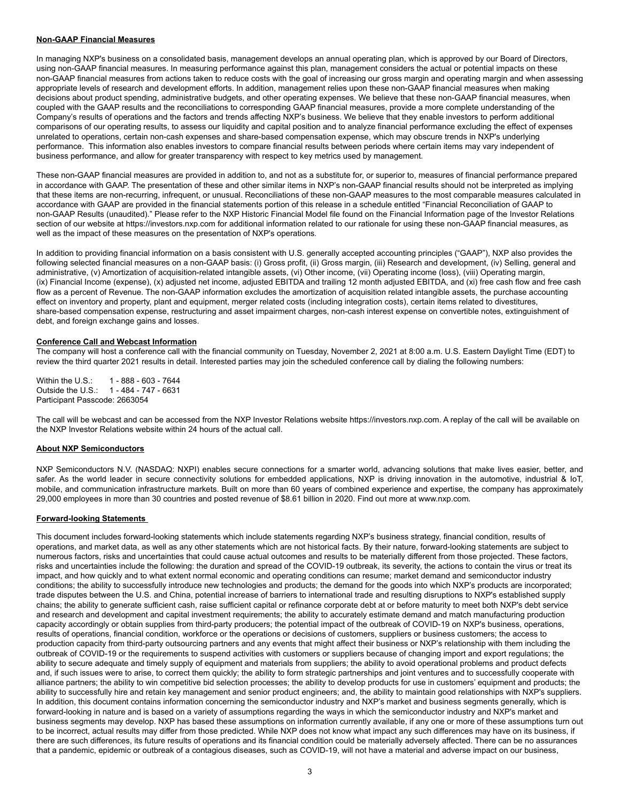#### **Non-GAAP Financial Measures**

In managing NXP's business on a consolidated basis, management develops an annual operating plan, which is approved by our Board of Directors, using non-GAAP financial measures. In measuring performance against this plan, management considers the actual or potential impacts on these non-GAAP financial measures from actions taken to reduce costs with the goal of increasing our gross margin and operating margin and when assessing appropriate levels of research and development efforts. In addition, management relies upon these non-GAAP financial measures when making decisions about product spending, administrative budgets, and other operating expenses. We believe that these non-GAAP financial measures, when coupled with the GAAP results and the reconciliations to corresponding GAAP financial measures, provide a more complete understanding of the Company's results of operations and the factors and trends affecting NXP's business. We believe that they enable investors to perform additional comparisons of our operating results, to assess our liquidity and capital position and to analyze financial performance excluding the effect of expenses unrelated to operations, certain non-cash expenses and share-based compensation expense, which may obscure trends in NXP's underlying performance. This information also enables investors to compare financial results between periods where certain items may vary independent of business performance, and allow for greater transparency with respect to key metrics used by management.

These non-GAAP financial measures are provided in addition to, and not as a substitute for, or superior to, measures of financial performance prepared in accordance with GAAP. The presentation of these and other similar items in NXP's non-GAAP financial results should not be interpreted as implying that these items are non-recurring, infrequent, or unusual. Reconciliations of these non-GAAP measures to the most comparable measures calculated in accordance with GAAP are provided in the financial statements portion of this release in a schedule entitled "Financial Reconciliation of GAAP to non-GAAP Results (unaudited)." Please refer to the NXP Historic Financial Model file found on the Financial Information page of the Investor Relations section of our website at https://investors.nxp.com for additional information related to our rationale for using these non-GAAP financial measures, as well as the impact of these measures on the presentation of NXP's operations.

In addition to providing financial information on a basis consistent with U.S. generally accepted accounting principles ("GAAP"), NXP also provides the following selected financial measures on a non-GAAP basis: (i) Gross profit, (ii) Gross margin, (iii) Research and development, (iv) Selling, general and administrative, (v) Amortization of acquisition-related intangible assets, (vi) Other income, (vii) Operating income (loss), (viii) Operating margin, (ix) Financial Income (expense), (x) adjusted net income, adjusted EBITDA and trailing 12 month adjusted EBITDA, and (xi) free cash flow and free cash flow as a percent of Revenue. The non-GAAP information excludes the amortization of acquisition related intangible assets, the purchase accounting effect on inventory and property, plant and equipment, merger related costs (including integration costs), certain items related to divestitures, share-based compensation expense, restructuring and asset impairment charges, non-cash interest expense on convertible notes, extinguishment of debt, and foreign exchange gains and losses.

#### **Conference Call and Webcast Information**

The company will host a conference call with the financial community on Tuesday, November 2, 2021 at 8:00 a.m. U.S. Eastern Daylight Time (EDT) to review the third quarter 2021 results in detail. Interested parties may join the scheduled conference call by dialing the following numbers:

Within the U.S.: 1 - 888 - 603 - 7644 Outside the U.S.: 1 - 484 - 747 - 6631 Participant Passcode: 2663054

The call will be webcast and can be accessed from the NXP Investor Relations website https://investors.nxp.com. A replay of the call will be available on the NXP Investor Relations website within 24 hours of the actual call.

#### **About NXP Semiconductors**

NXP Semiconductors N.V. (NASDAQ: NXPI) enables secure connections for a smarter world, advancing solutions that make lives easier, better, and safer. As the world leader in secure connectivity solutions for embedded applications, NXP is driving innovation in the automotive, industrial & IoT, mobile, and communication infrastructure markets. Built on more than 60 years of combined experience and expertise, the company has approximately 29,000 employees in more than 30 countries and posted revenue of \$8.61 billion in 2020. Find out more at www.nxp.com.

#### **Forward-looking Statements**

This document includes forward-looking statements which include statements regarding NXP's business strategy, financial condition, results of operations, and market data, as well as any other statements which are not historical facts. By their nature, forward-looking statements are subject to numerous factors, risks and uncertainties that could cause actual outcomes and results to be materially different from those projected. These factors, risks and uncertainties include the following: the duration and spread of the COVID-19 outbreak, its severity, the actions to contain the virus or treat its impact, and how quickly and to what extent normal economic and operating conditions can resume; market demand and semiconductor industry conditions; the ability to successfully introduce new technologies and products; the demand for the goods into which NXP's products are incorporated; trade disputes between the U.S. and China, potential increase of barriers to international trade and resulting disruptions to NXP's established supply chains; the ability to generate sufficient cash, raise sufficient capital or refinance corporate debt at or before maturity to meet both NXP's debt service and research and development and capital investment requirements; the ability to accurately estimate demand and match manufacturing production capacity accordingly or obtain supplies from third-party producers; the potential impact of the outbreak of COVID-19 on NXP's business, operations, results of operations, financial condition, workforce or the operations or decisions of customers, suppliers or business customers; the access to production capacity from third-party outsourcing partners and any events that might affect their business or NXP's relationship with them including the outbreak of COVID-19 or the requirements to suspend activities with customers or suppliers because of changing import and export regulations; the ability to secure adequate and timely supply of equipment and materials from suppliers; the ability to avoid operational problems and product defects and, if such issues were to arise, to correct them quickly; the ability to form strategic partnerships and joint ventures and to successfully cooperate with alliance partners; the ability to win competitive bid selection processes; the ability to develop products for use in customers' equipment and products; the ability to successfully hire and retain key management and senior product engineers; and, the ability to maintain good relationships with NXP's suppliers. In addition, this document contains information concerning the semiconductor industry and NXP's market and business segments generally, which is forward-looking in nature and is based on a variety of assumptions regarding the ways in which the semiconductor industry and NXP's market and business segments may develop. NXP has based these assumptions on information currently available, if any one or more of these assumptions turn out to be incorrect, actual results may differ from those predicted. While NXP does not know what impact any such differences may have on its business, if there are such differences, its future results of operations and its financial condition could be materially adversely affected. There can be no assurances that a pandemic, epidemic or outbreak of a contagious diseases, such as COVID-19, will not have a material and adverse impact on our business,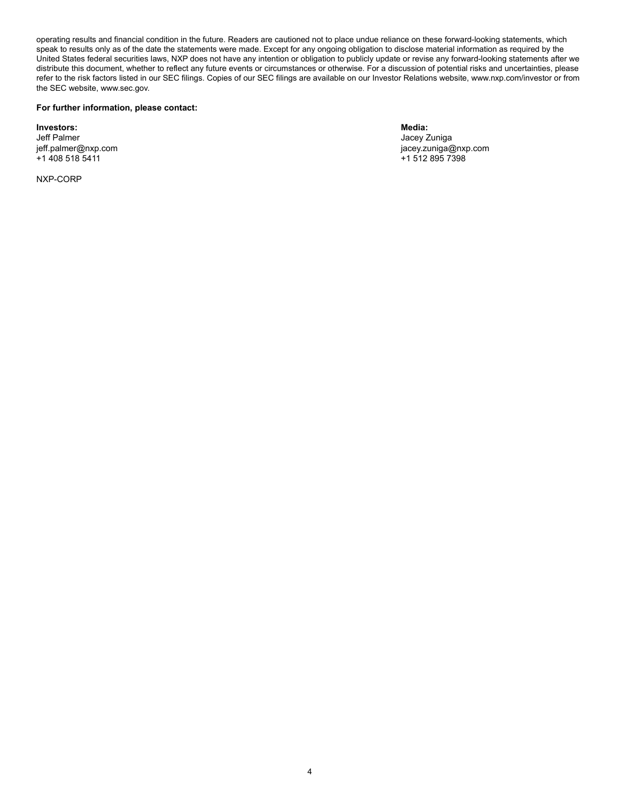operating results and financial condition in the future. Readers are cautioned not to place undue reliance on these forward-looking statements, which speak to results only as of the date the statements were made. Except for any ongoing obligation to disclose material information as required by the United States federal securities laws, NXP does not have any intention or obligation to publicly update or revise any forward-looking statements after we distribute this document, whether to reflect any future events or circumstances or otherwise. For a discussion of potential risks and uncertainties, please refer to the risk factors listed in our SEC filings. Copies of our SEC filings are available on our Investor Relations website, www.nxp.com/investor or from the SEC website, www.sec.gov.

#### **For further information, please contact:**

**Investors: Media:**

Jeff Palmer **Jacey Zuniga** Jacey Zuniga Jacey Zuniga Jacey Zuniga Jacey Zuniga Jacey Zuniga Jacey Zuniga Jacey Zuniga Jacey Zuniga Jacey Zuniga Jacey Zuniga Jacey Zuniga Jacey Zuniga Jacey Zuniga Jacey Zuniga Jacey Zuniga +1 408 518 5411

jeff.palmer@nxp.com jacey.zuniga@nxp.com

NXP-CORP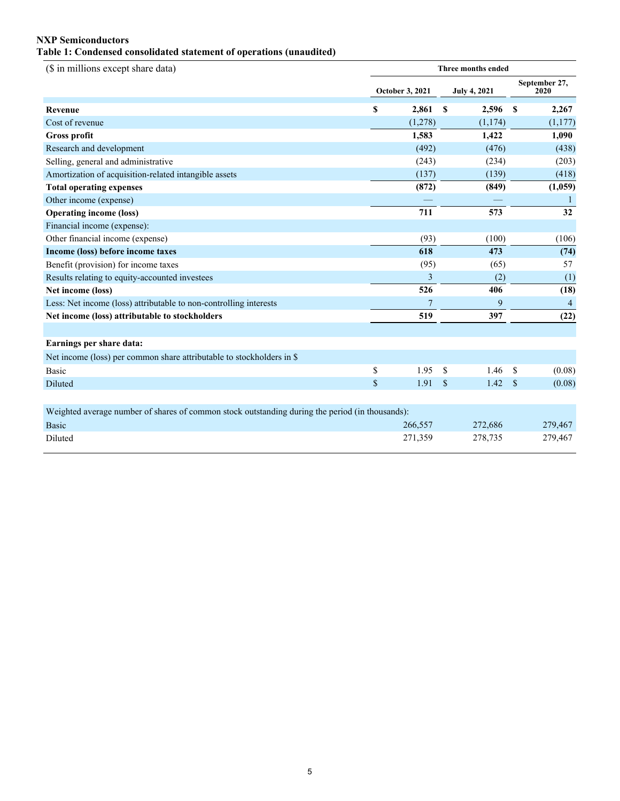# **Table 1: Condensed consolidated statement of operations (unaudited)**

| (\$ in millions except share data)                                                              | Three months ended     |                     |                         |  |  |  |  |  |  |
|-------------------------------------------------------------------------------------------------|------------------------|---------------------|-------------------------|--|--|--|--|--|--|
|                                                                                                 | <b>October 3, 2021</b> | <b>July 4, 2021</b> | September 27,<br>2020   |  |  |  |  |  |  |
| <b>Revenue</b>                                                                                  | \$<br>2,861            | \$<br>2,596         | <b>S</b><br>2,267       |  |  |  |  |  |  |
| Cost of revenue                                                                                 | (1,278)                | (1, 174)            | (1, 177)                |  |  |  |  |  |  |
| <b>Gross profit</b>                                                                             | 1,583                  | 1,422               | 1,090                   |  |  |  |  |  |  |
| Research and development                                                                        | (492)                  | (476)               | (438)                   |  |  |  |  |  |  |
| Selling, general and administrative                                                             | (243)                  | (234)               | (203)                   |  |  |  |  |  |  |
| Amortization of acquisition-related intangible assets                                           | (137)                  | (139)               | (418)                   |  |  |  |  |  |  |
| <b>Total operating expenses</b>                                                                 | (872)                  | (849)               | (1,059)                 |  |  |  |  |  |  |
| Other income (expense)                                                                          |                        |                     | $\mathbf{1}$            |  |  |  |  |  |  |
| <b>Operating income (loss)</b>                                                                  | 711                    | 573                 | 32                      |  |  |  |  |  |  |
| Financial income (expense):                                                                     |                        |                     |                         |  |  |  |  |  |  |
| Other financial income (expense)                                                                | (93)                   | (100)               | (106)                   |  |  |  |  |  |  |
| Income (loss) before income taxes                                                               | 618                    | 473                 | (74)                    |  |  |  |  |  |  |
| Benefit (provision) for income taxes                                                            | (95)                   | (65)                | 57                      |  |  |  |  |  |  |
| Results relating to equity-accounted investees                                                  | 3                      | (2)                 | (1)                     |  |  |  |  |  |  |
| Net income (loss)                                                                               | 526                    | 406                 | (18)                    |  |  |  |  |  |  |
| Less: Net income (loss) attributable to non-controlling interests                               | $\overline{7}$         | 9                   | $\overline{4}$          |  |  |  |  |  |  |
| Net income (loss) attributable to stockholders                                                  | 519                    | 397                 | (22)                    |  |  |  |  |  |  |
|                                                                                                 |                        |                     |                         |  |  |  |  |  |  |
| Earnings per share data:                                                                        |                        |                     |                         |  |  |  |  |  |  |
| Net income (loss) per common share attributable to stockholders in \$                           |                        |                     |                         |  |  |  |  |  |  |
| <b>Basic</b>                                                                                    | \$<br>1.95             | $\mathbf S$<br>1.46 | <sup>\$</sup><br>(0.08) |  |  |  |  |  |  |
| Diluted                                                                                         | \$<br>1.91             | $\mathbf S$<br>1.42 | $\mathbb{S}$<br>(0.08)  |  |  |  |  |  |  |
|                                                                                                 |                        |                     |                         |  |  |  |  |  |  |
| Weighted average number of shares of common stock outstanding during the period (in thousands): |                        |                     |                         |  |  |  |  |  |  |
| <b>Basic</b>                                                                                    | 266,557                | 272,686             | 279,467                 |  |  |  |  |  |  |
| Diluted                                                                                         | 271,359                | 278,735             | 279,467                 |  |  |  |  |  |  |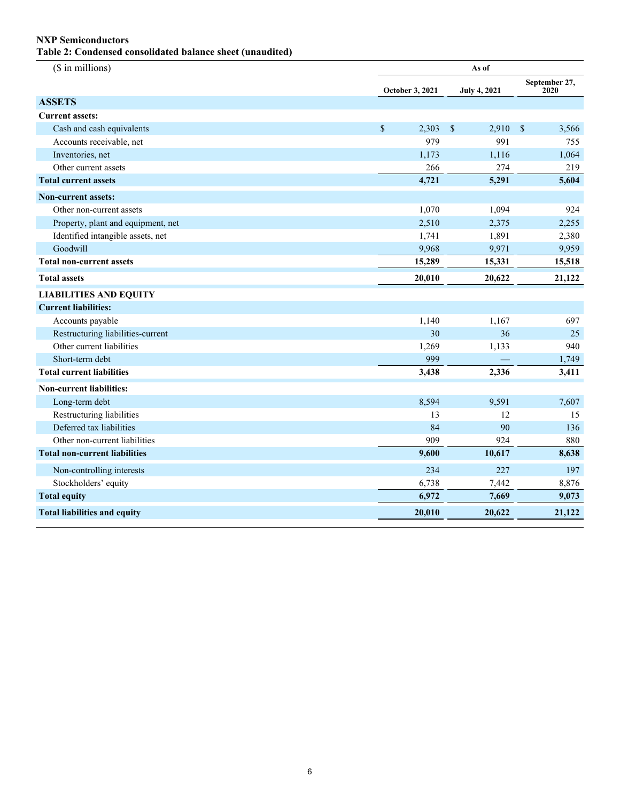**Table 2: Condensed consolidated balance sheet (unaudited)**

| (\$ in millions)                     | As of           |                     |                       |  |  |
|--------------------------------------|-----------------|---------------------|-----------------------|--|--|
|                                      | October 3, 2021 | <b>July 4, 2021</b> | September 27,<br>2020 |  |  |
| <b>ASSETS</b>                        |                 |                     |                       |  |  |
| <b>Current assets:</b>               |                 |                     |                       |  |  |
| Cash and cash equivalents            | \$<br>2,303     | \$<br>2,910         | \$<br>3,566           |  |  |
| Accounts receivable, net             | 979             | 991                 | 755                   |  |  |
| Inventories, net                     | 1,173           | 1,116               | 1,064                 |  |  |
| Other current assets                 | 266             | 274                 | 219                   |  |  |
| <b>Total current assets</b>          | 4,721           | 5,291               | 5,604                 |  |  |
| <b>Non-current assets:</b>           |                 |                     |                       |  |  |
| Other non-current assets             | 1,070           | 1,094               | 924                   |  |  |
| Property, plant and equipment, net   | 2,510           | 2,375               | 2,255                 |  |  |
| Identified intangible assets, net    | 1,741           | 1,891               | 2,380                 |  |  |
| Goodwill                             | 9,968           | 9,971               | 9,959                 |  |  |
| <b>Total non-current assets</b>      | 15,289          | 15,331              | 15,518                |  |  |
| <b>Total assets</b>                  | 20,010          | 20,622              | 21,122                |  |  |
| <b>LIABILITIES AND EQUITY</b>        |                 |                     |                       |  |  |
| <b>Current liabilities:</b>          |                 |                     |                       |  |  |
| Accounts payable                     | 1,140           | 1,167               | 697                   |  |  |
| Restructuring liabilities-current    | 30              | 36                  | 25                    |  |  |
| Other current liabilities            | 1,269           | 1,133               | 940                   |  |  |
| Short-term debt                      | 999             |                     | 1,749                 |  |  |
| <b>Total current liabilities</b>     | 3,438           | 2,336               | 3,411                 |  |  |
| <b>Non-current liabilities:</b>      |                 |                     |                       |  |  |
| Long-term debt                       | 8,594           | 9,591               | 7,607                 |  |  |
| Restructuring liabilities            | 13              | 12                  | 15                    |  |  |
| Deferred tax liabilities             | 84              | 90                  | 136                   |  |  |
| Other non-current liabilities        | 909             | 924                 | 880                   |  |  |
| <b>Total non-current liabilities</b> | 9,600           | 10,617              | 8,638                 |  |  |
| Non-controlling interests            | 234             | 227                 | 197                   |  |  |
| Stockholders' equity                 | 6,738           | 7,442               | 8,876                 |  |  |
| <b>Total equity</b>                  | 6,972           | 7,669               | 9,073                 |  |  |
| <b>Total liabilities and equity</b>  | 20.010          | 20.622              | 21,122                |  |  |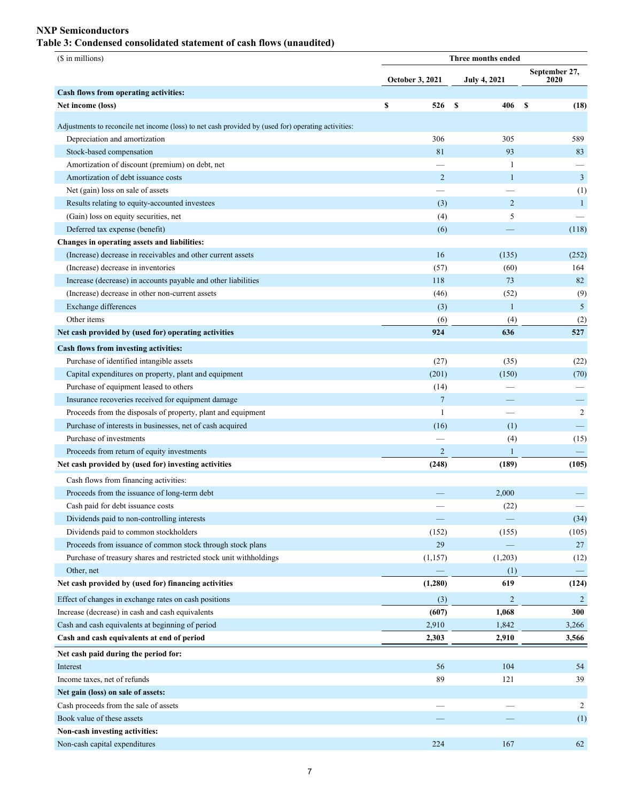# **Table 3: Condensed consolidated statement of cash flows (unaudited)**

| (\$ in millions)                                                                                    | Three months ended       |                     |                          |  |  |  |  |  |
|-----------------------------------------------------------------------------------------------------|--------------------------|---------------------|--------------------------|--|--|--|--|--|
|                                                                                                     | October 3, 2021          | <b>July 4, 2021</b> | September 27,<br>2020    |  |  |  |  |  |
| Cash flows from operating activities:<br>Net income (loss)                                          | \$<br>526                | \$<br>406           | \$<br>(18)               |  |  |  |  |  |
|                                                                                                     |                          |                     |                          |  |  |  |  |  |
| Adjustments to reconcile net income (loss) to net cash provided by (used for) operating activities: |                          |                     |                          |  |  |  |  |  |
| Depreciation and amortization                                                                       | 306                      | 305                 | 589                      |  |  |  |  |  |
| Stock-based compensation                                                                            | 81                       | 93                  | 83                       |  |  |  |  |  |
| Amortization of discount (premium) on debt, net                                                     | —                        | 1                   |                          |  |  |  |  |  |
| Amortization of debt issuance costs                                                                 | $\overline{2}$           | $\mathbf{1}$        | $\mathfrak{Z}$           |  |  |  |  |  |
| Net (gain) loss on sale of assets                                                                   |                          |                     | (1)                      |  |  |  |  |  |
| Results relating to equity-accounted investees                                                      | (3)                      | 2                   | $\mathbf{1}$             |  |  |  |  |  |
| (Gain) loss on equity securities, net                                                               | (4)                      | 5                   |                          |  |  |  |  |  |
| Deferred tax expense (benefit)                                                                      | (6)                      |                     | (118)                    |  |  |  |  |  |
| Changes in operating assets and liabilities:                                                        |                          |                     |                          |  |  |  |  |  |
| (Increase) decrease in receivables and other current assets                                         | 16                       | (135)               | (252)                    |  |  |  |  |  |
| (Increase) decrease in inventories                                                                  | (57)                     | (60)                | 164                      |  |  |  |  |  |
| Increase (decrease) in accounts payable and other liabilities                                       | 118                      | 73                  | 82                       |  |  |  |  |  |
| (Increase) decrease in other non-current assets                                                     | (46)                     | (52)                | (9)                      |  |  |  |  |  |
| Exchange differences                                                                                | (3)                      | $\mathbf{1}$        | 5                        |  |  |  |  |  |
| Other items                                                                                         | (6)                      | (4)                 | (2)                      |  |  |  |  |  |
| Net cash provided by (used for) operating activities                                                | 924                      | 636                 | 527                      |  |  |  |  |  |
| Cash flows from investing activities:                                                               |                          |                     |                          |  |  |  |  |  |
| Purchase of identified intangible assets                                                            | (27)                     | (35)                | (22)                     |  |  |  |  |  |
| Capital expenditures on property, plant and equipment                                               | (201)                    | (150)               | (70)                     |  |  |  |  |  |
| Purchase of equipment leased to others                                                              | (14)                     |                     |                          |  |  |  |  |  |
| Insurance recoveries received for equipment damage                                                  | $\overline{7}$           |                     |                          |  |  |  |  |  |
| Proceeds from the disposals of property, plant and equipment                                        | 1                        |                     | $\overline{2}$           |  |  |  |  |  |
| Purchase of interests in businesses, net of cash acquired                                           | (16)                     | (1)                 | $\overline{\phantom{0}}$ |  |  |  |  |  |
| Purchase of investments                                                                             | $\overline{\phantom{0}}$ | (4)                 | (15)                     |  |  |  |  |  |
| Proceeds from return of equity investments                                                          | $\overline{2}$           | $\mathbf{1}$        |                          |  |  |  |  |  |
| Net cash provided by (used for) investing activities                                                | (248)                    | (189)               | (105)                    |  |  |  |  |  |
| Cash flows from financing activities:                                                               |                          |                     |                          |  |  |  |  |  |
| Proceeds from the issuance of long-term debt                                                        |                          | 2,000               |                          |  |  |  |  |  |
| Cash paid for debt issuance costs                                                                   |                          | (22)                |                          |  |  |  |  |  |
| Dividends paid to non-controlling interests                                                         |                          |                     | (34)                     |  |  |  |  |  |
| Dividends paid to common stockholders                                                               | (152)                    | (155)               | (105)                    |  |  |  |  |  |
| Proceeds from issuance of common stock through stock plans                                          | 29                       |                     | 27                       |  |  |  |  |  |
| Purchase of treasury shares and restricted stock unit withholdings                                  | (1,157)                  | (1,203)             | (12)                     |  |  |  |  |  |
| Other, net                                                                                          |                          | (1)                 | $\overline{\phantom{0}}$ |  |  |  |  |  |
| Net cash provided by (used for) financing activities                                                | (1,280)                  | 619                 | (124)                    |  |  |  |  |  |
| Effect of changes in exchange rates on cash positions                                               | (3)                      | $\overline{c}$      | $\overline{c}$           |  |  |  |  |  |
| Increase (decrease) in cash and cash equivalents                                                    | (607)                    | 1,068               | 300                      |  |  |  |  |  |
| Cash and cash equivalents at beginning of period                                                    | 2,910                    | 1,842               | 3,266                    |  |  |  |  |  |
| Cash and cash equivalents at end of period                                                          | 2,303                    | 2,910               | 3,566                    |  |  |  |  |  |
|                                                                                                     |                          |                     |                          |  |  |  |  |  |
| Net cash paid during the period for:                                                                |                          |                     |                          |  |  |  |  |  |
| Interest                                                                                            | 56                       | 104                 | 54                       |  |  |  |  |  |
| Income taxes, net of refunds                                                                        | 89                       | 121                 | 39                       |  |  |  |  |  |
| Net gain (loss) on sale of assets:                                                                  |                          |                     |                          |  |  |  |  |  |
| Cash proceeds from the sale of assets                                                               |                          |                     | 2                        |  |  |  |  |  |
| Book value of these assets                                                                          |                          |                     | (1)                      |  |  |  |  |  |
| Non-cash investing activities:                                                                      |                          |                     |                          |  |  |  |  |  |
| Non-cash capital expenditures                                                                       | 224                      | 167                 | 62                       |  |  |  |  |  |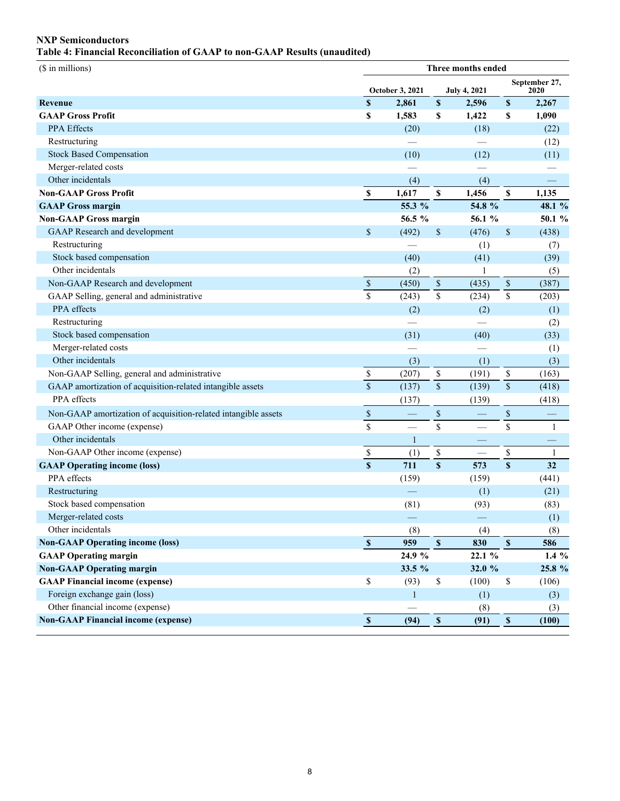# **Table 4: Financial Reconciliation of GAAP to non-GAAP Results (unaudited)**

| (\$ in millions)                                               | Three months ended          |                          |                           |                     |                           |              |  |  |  |
|----------------------------------------------------------------|-----------------------------|--------------------------|---------------------------|---------------------|---------------------------|--------------|--|--|--|
|                                                                |                             | October 3, 2021          |                           | <b>July 4, 2021</b> | September 27,<br>2020     |              |  |  |  |
| Revenue                                                        | $\boldsymbol{\mathsf{s}}$   | 2,861                    | $\pmb{\mathbb{S}}$        | 2,596               | \$                        | 2,267        |  |  |  |
| <b>GAAP Gross Profit</b>                                       | \$                          | 1,583                    | \$                        | 1,422               | \$                        | 1,090        |  |  |  |
| PPA Effects                                                    |                             | (20)                     |                           | (18)                |                           | (22)         |  |  |  |
| Restructuring                                                  |                             |                          |                           |                     |                           | (12)         |  |  |  |
| <b>Stock Based Compensation</b>                                |                             | (10)                     |                           | (12)                |                           | (11)         |  |  |  |
| Merger-related costs                                           |                             |                          |                           |                     |                           |              |  |  |  |
| Other incidentals                                              |                             | (4)                      |                           | (4)                 |                           |              |  |  |  |
| <b>Non-GAAP Gross Profit</b>                                   | $\mathbb S$                 | 1,617                    | \$                        | 1,456               | \$                        | 1,135        |  |  |  |
| <b>GAAP Gross margin</b>                                       |                             | 55.3 %                   |                           | 54.8 %              |                           | 48.1 %       |  |  |  |
| <b>Non-GAAP Gross margin</b>                                   |                             | 56.5 %                   |                           | 56.1 %              |                           | 50.1 %       |  |  |  |
| <b>GAAP</b> Research and development                           | $\$$                        | (492)                    | $\$$                      | (476)               | \$                        | (438)        |  |  |  |
| Restructuring                                                  |                             |                          |                           | (1)                 |                           | (7)          |  |  |  |
| Stock based compensation                                       |                             | (40)                     |                           | (41)                |                           | (39)         |  |  |  |
| Other incidentals                                              |                             | (2)                      |                           | 1                   |                           | (5)          |  |  |  |
| Non-GAAP Research and development                              | $\boldsymbol{\mathsf{S}}$   | (450)                    | $\$$                      | (435)               | $\$$                      | (387)        |  |  |  |
| GAAP Selling, general and administrative                       | $\overline{\mathbf{s}}$     | (243)                    | \$                        | (234)               | \$                        | (203)        |  |  |  |
| PPA effects                                                    |                             | (2)                      |                           | (2)                 |                           | (1)          |  |  |  |
| Restructuring                                                  |                             |                          |                           |                     |                           | (2)          |  |  |  |
| Stock based compensation                                       |                             | (31)                     |                           | (40)                |                           | (33)         |  |  |  |
| Merger-related costs                                           |                             |                          |                           |                     |                           | (1)          |  |  |  |
| Other incidentals                                              |                             | (3)                      |                           | (1)                 |                           | (3)          |  |  |  |
| Non-GAAP Selling, general and administrative                   | $\frac{1}{2}$               | (207)                    | \$                        | (191)               | \$                        | (163)        |  |  |  |
| GAAP amortization of acquisition-related intangible assets     | $\overline{\mathbf{s}}$     | (137)                    | $\$$                      | (139)               | $\$$                      | (418)        |  |  |  |
| PPA effects                                                    |                             | (137)                    |                           | (139)               |                           | (418)        |  |  |  |
| Non-GAAP amortization of acquisition-related intangible assets | $\frac{\text{S}}{\text{S}}$ |                          | $\$$                      |                     | \$                        |              |  |  |  |
| GAAP Other income (expense)                                    | $\overline{\mathbf{s}}$     | $\overline{\phantom{0}}$ | \$                        |                     | \$                        | $\mathbf{1}$ |  |  |  |
| Other incidentals                                              |                             | $\mathbf{1}$             |                           | —                   |                           |              |  |  |  |
| Non-GAAP Other income (expense)                                | $\overline{\mathbf{r}}$     | (1)                      | \$                        |                     | \$                        | 1            |  |  |  |
| <b>GAAP Operating income (loss)</b>                            | $\overline{\mathbf{s}}$     | 711                      | $\boldsymbol{\mathsf{s}}$ | 573                 | $\boldsymbol{\mathsf{s}}$ | 32           |  |  |  |
| PPA effects                                                    |                             | (159)                    |                           | (159)               |                           | (441)        |  |  |  |
| Restructuring                                                  |                             |                          |                           | (1)                 |                           | (21)         |  |  |  |
| Stock based compensation                                       |                             | (81)                     |                           | (93)                |                           | (83)         |  |  |  |
| Merger-related costs                                           |                             |                          |                           |                     |                           | (1)          |  |  |  |
| Other incidentals                                              |                             | (8)                      |                           | (4)                 |                           | (8)          |  |  |  |
| <b>Non-GAAP Operating income (loss)</b>                        | $\mathbb S$                 | 959                      | $\mathbb S$               | 830                 | $\mathbb S$               | 586          |  |  |  |
| <b>GAAP Operating margin</b>                                   |                             | 24.9 %                   |                           | 22.1 %              |                           | $1.4\%$      |  |  |  |
| <b>Non-GAAP Operating margin</b>                               |                             | 33.5 %                   |                           | 32.0 %              |                           | 25.8 %       |  |  |  |
| <b>GAAP Financial income (expense)</b>                         | $\mathbb{S}$                | (93)                     | \$                        | (100)               | \$                        | (106)        |  |  |  |
| Foreign exchange gain (loss)                                   |                             | $\mathbf{1}$             |                           | (1)                 |                           | (3)          |  |  |  |
| Other financial income (expense)                               |                             |                          |                           | (8)                 |                           | (3)          |  |  |  |
| <b>Non-GAAP Financial income (expense)</b>                     | $\boldsymbol{\$}$           | (94)                     | $\pmb{\mathbb{S}}$        | (91)                | $\pmb{\mathbb{S}}$        | (100)        |  |  |  |